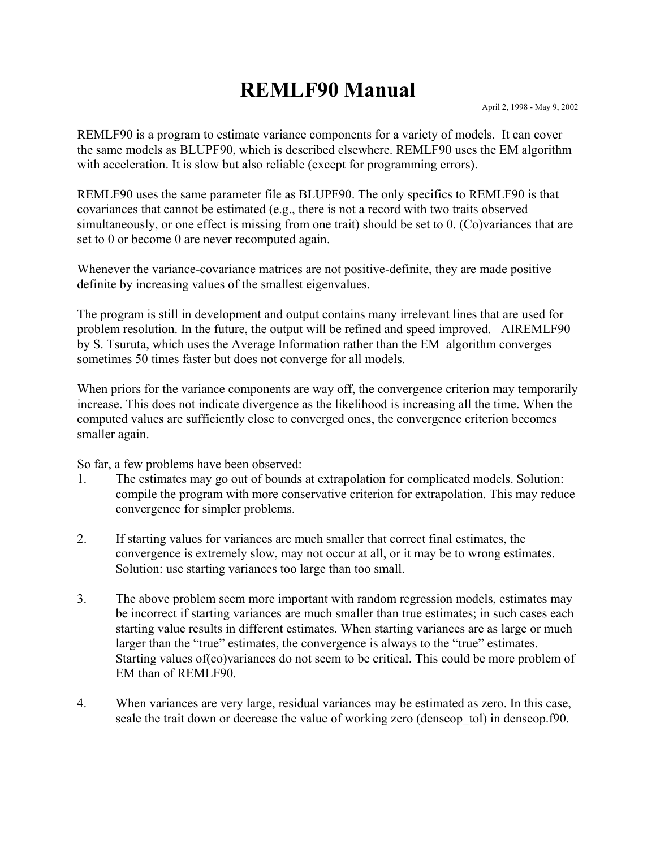## **REMLF90 Manual**

REMLF90 is a program to estimate variance components for a variety of models. It can cover the same models as BLUPF90, which is described elsewhere. REMLF90 uses the EM algorithm with acceleration. It is slow but also reliable (except for programming errors).

REMLF90 uses the same parameter file as BLUPF90. The only specifics to REMLF90 is that covariances that cannot be estimated (e.g., there is not a record with two traits observed simultaneously, or one effect is missing from one trait) should be set to 0. (Co)variances that are set to 0 or become 0 are never recomputed again.

Whenever the variance-covariance matrices are not positive-definite, they are made positive definite by increasing values of the smallest eigenvalues.

The program is still in development and output contains many irrelevant lines that are used for problem resolution. In the future, the output will be refined and speed improved. AIREMLF90 by S. Tsuruta, which uses the Average Information rather than the EM algorithm converges sometimes 50 times faster but does not converge for all models.

When priors for the variance components are way off, the convergence criterion may temporarily increase. This does not indicate divergence as the likelihood is increasing all the time. When the computed values are sufficiently close to converged ones, the convergence criterion becomes smaller again.

So far, a few problems have been observed:

- 1. The estimates may go out of bounds at extrapolation for complicated models. Solution: compile the program with more conservative criterion for extrapolation. This may reduce convergence for simpler problems.
- 2. If starting values for variances are much smaller that correct final estimates, the convergence is extremely slow, may not occur at all, or it may be to wrong estimates. Solution: use starting variances too large than too small.
- 3. The above problem seem more important with random regression models, estimates may be incorrect if starting variances are much smaller than true estimates; in such cases each starting value results in different estimates. When starting variances are as large or much larger than the "true" estimates, the convergence is always to the "true" estimates. Starting values of(co)variances do not seem to be critical. This could be more problem of EM than of REMLF90.
- 4. When variances are very large, residual variances may be estimated as zero. In this case, scale the trait down or decrease the value of working zero (denseop tol) in denseop.f90.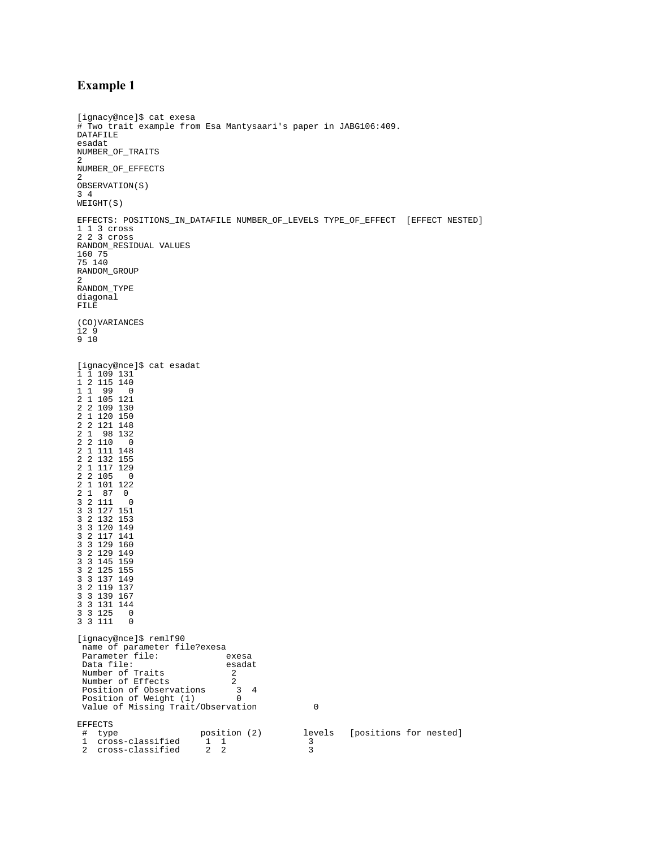## **Example 1**

```
[ignacy@nce]$ cat exesa
# Two trait example from Esa Mantysaari's paper in JABG106:409. 
DATAFILE
esadat
NUMBER_OF_TRAITS
2
NUMBER_OF_EFFECTS
2
OBSERVATION(S)
3 4 
WEIGHT(S)
EFFECTS: POSITIONS_IN_DATAFILE NUMBER_OF_LEVELS TYPE_OF_EFFECT [EFFECT NESTED]
1 1 3 cross
2 2 3 cross
RANDOM_RESIDUAL VALUES
160 75
75 140
RANDOM_GROUP
2
RANDOM_TYPE
diagonal
FILE
(CO)VARIANCES
12<sub>9</sub>9 10
[ignacy@nce]$ cat esadat
1 1 109 131
1 2 115 140
1 1 99 0
2 1 105 121
2 2 109 130
2 1 120 150
2 2 121 148
2 1 98 132
2 2 110 0
2 1 111 148
2 2 132 155
2 1 117 129
2 2 105 0
2 1 101 122
2 1 87 0
3 2 111 0
3 3 127 151
3 2 132 153
3 3 120 149
3 2 117 141
3 3 129 160
3 2 129 149
3 3 145 159
3 2 125 155
3 3 137 149
3 2 119 137
3 3 139 167
3 3 131 144
3 3 125 0
3 3 111 0
[ignacy@nce]$ remlf90
 name of parameter file?exesa<br>Parameter file: exesa
 Parameter file: exesa<br>Data file: esadat
 Data file:
 Number of Traits 2
 Number of Effects 2
Position of Observations 3 4<br>
Position of Weight (1) 0
 Value of Missing Trait/Observation 0
EFFECTS
 # type position (2) levels [positions for nested]<br>1 cross-classified 1 1 3<br>2 cross-classified 2 2 3
 1 cross-classified 1 1 3
 2 cross-classified 2 2 3
```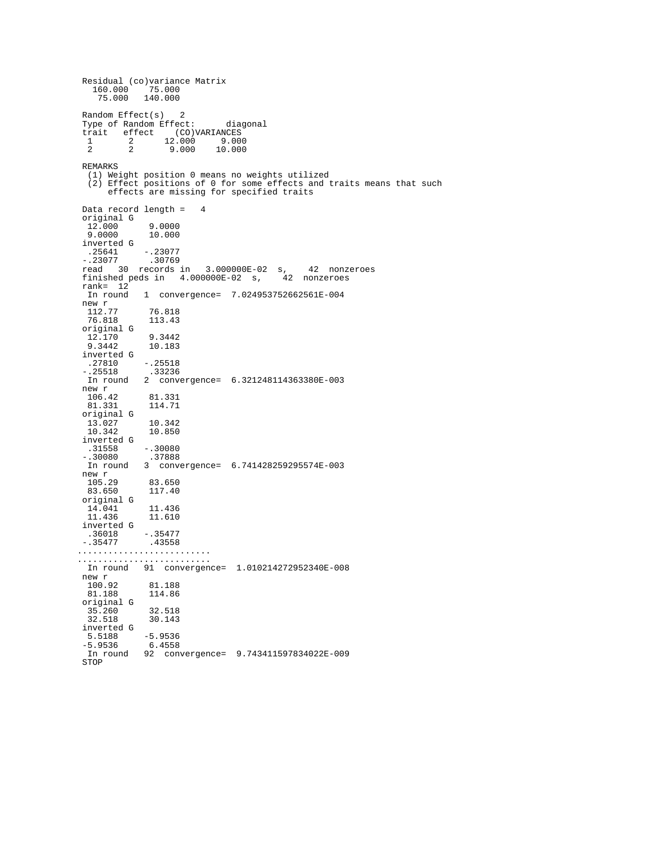Residual (co)variance Matrix 160.000 75.000 75.000 140.000 Random Effect(s) 2 Type of Random Effect: diagonal trait effect (CO)VARIANCES<br>1 2 12.000 9.000  $\frac{1}{2}$   $\frac{2}{2}$   $\frac{12.000}{9.000}$ 10.000 REMARKS (1) Weight position 0 means no weights utilized (2) Effect positions of 0 for some effects and traits means that such effects are missing for specified traits Data record length = 4 original G 12.000 9.0000<br>9.0000 10.000 9.0000 10.000 inverted G .25641 -.23077 -.23077 .30769 read 30 records in 3.000000E-02 s, 42 nonzeroes finished peds in 4.000000E-02 s, 42 nonzeroes rank= 12<sup>F</sup><br>In round In round 1 convergence= 7.024953752662561E-004 new r 112.77 76.818 112.77 76.818<br>76.818 113.43 original G 12.170 9.3442<br>9.3442 10.183  $10.183$  inverted G  $-0.25518$  -.25518 .33236 In round 2 convergence= 6.321248114363380E-003 new r 106.42 81.331 81.331 114.71 original G 13.027 10.342<br>10.342 10.850 10.850 inverted G .31558 -.30080 -.30080 .37888 In round 3 convergence= 6.741428259295574E-003 new r<br>105.29 105.29 83.650 117.40 original G 14.041 11.436<br>11.436 11.610 11.610 inverted G .36018 -.35477<br>-.35477 .43558 .43558 .......................... .......................... In round 91 convergence= 1.010214272952340E-008 new r<br>100.92 81.188<br>114.86 81.188 original G 35.260 32.518 30.143 inverted G 5.5188 -5.9536 -5.9536 6.4558 In round 92 convergence= 9.743411597834022E-009 STOP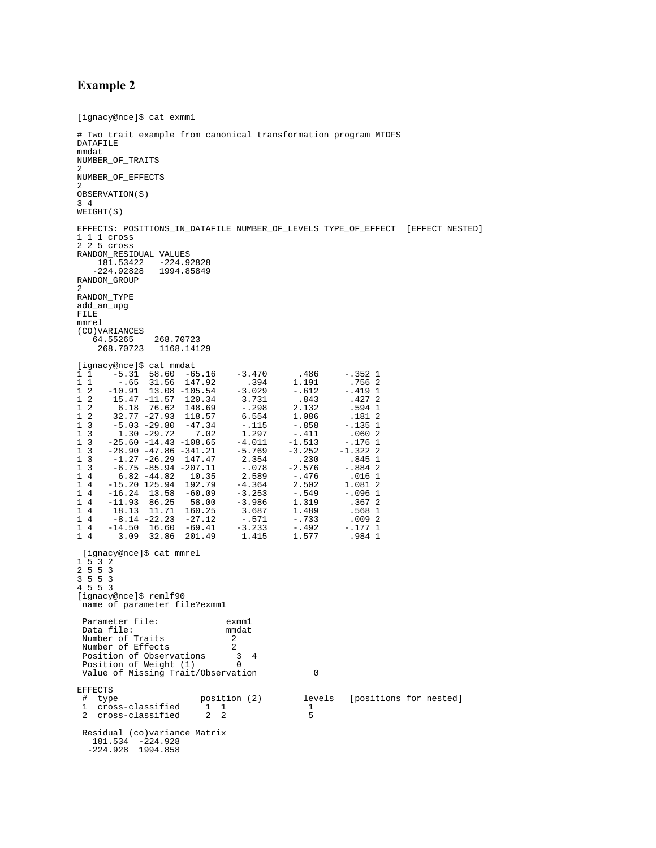## **Example 2**

```
[ignacy@nce]$ cat exmm1
# Two trait example from canonical transformation program MTDFS
DATAFILE
mmdat
NUMBER_OF_TRAITS
\mathcal{L}NUMBER_OF_EFFECTS
2
OBSERVATION(S)
3 4 
WEIGHT(S)
EFFECTS: POSITIONS_IN_DATAFILE NUMBER_OF_LEVELS TYPE_OF_EFFECT [EFFECT NESTED]
1 1 1 cross
2 2 5 cross
RANDOM_RESIDUAL VALUES
    181.53422 -224.92828<br>-224.92828 1994.85849
    -224.92828RANDOM_GROUP
2
RANDOM_TYPE
add_an_upg
FILE
mmrel
(CO)VARIANCES
 64.55265 268.70723
 268.70723 1168.14129
[ignacy@nce]$ cat mmdat
1 1 -5.31 58.60 -65.16 -3.470 .486 -.352 1
1 1 -.65 31.56 147.92 .394 1.191 .756 2
1 2 -10.91 13.08 -105.54 -3.029 -.612 -.419 1
1 2 15.47 -11.57 120.34 3.731 .843 .427 2
1 2 6.18 76.62 148.69 -.298 2.132 .594 1
1 2 32.77 -27.93 118.57 6.554 1.086 .181 2
1 2 32.17 -27.93 118.57 6.554 1.086 .181 2<br>1 3 -5.03 -29.80 -47.34 -.115 -.858 -.135 1<br>1 3 1.30 -29.72 7.02 1.297 -.411 .060 2
1 3 1.30 -29.72 7.02 1.297 -.411 .060 2
1 3 -25.60 -14.43 -108.65 -4.011 -1.513 -.176 1
\begin{array}{cccccccc} 1 & 3 & -25.60 & -14.43 & -108.65 & -4.011 & -1.513 & -.176 & 1 \\ 1 & 3 & -28.90 & -47.86 & -341.21 & -5.769 & -3.252 & -1.322 & 2 \\ 1 & 3 & -1.27 & -26.29 & 147.47 & 2.354 & .230 & .845 & 1 \\ 1 & 3 & -6.75 & -85.94 & -207.11 & -.078 & -2.576 & -.884 & 2 \end{array}1 3 -1.27 -26.29 147.47 2.354 .230 .845 1
1 3 -6.75 -85.94 -207.11 -.078 -2.576 -.884 2
1 4 6.82 -44.82 10.35 2.589 -.476 .016 1
1 4 -15.20 125.94 192.79 -4.364 2.502 1.081 2
1 4 -16.24 13.58 -60.09 -3.253 -.549 -.096 1
1 4 -11.93 86.25 58.00 -3.986 1.319 .367 2
1 4 18.13 11.71 160.25 3.687 1.489 .568 1
1 4 -8.14 -22.23 -27.12 -.571 -.733 .009 2
1 4 -14.50 16.60 -69.41 -3.233 -.492 -.177 1
1 4 3.09 32.86 201.49 1.415 1.577 .984 1
  [ignacy@nce]$ cat mmrel
1 5 3 2
2 5 5 3
3 5 5 3
4 5 5 3
[ignacy@nce]$ remlf90
  name of parameter file?exmm1
 Parameter file: exmml<br>Data file: mmdat
 Data file: mmd<br>Number of Traits (2002)
 Number of Traits 2<br>Number of Effects 2
 Number of Effects 2<br>Position of Observations 3
 Position of Observations 3 4<br>Position of Weight (1) 0
 Position of Weight (1)
 Value of Missing Trait/Observation 0
EFFECTS<br># type
                                   position (2) levels [positions for nested]<br>\begin{bmatrix} 1 & 1 & 1 \\ 2 & 2 & 5 \end{bmatrix}1 cross-classified 1 1 1 1<br>2 cross-classified 2 2 2 5
 2 cross-classified
  Residual (co)variance Matrix
 181.534 -224.928
 -224.928 1994.858
```